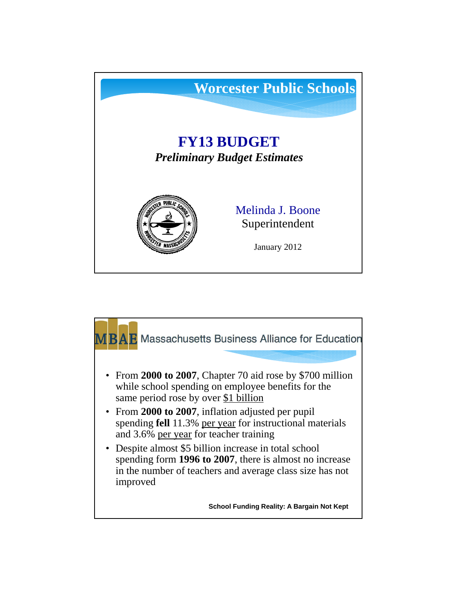

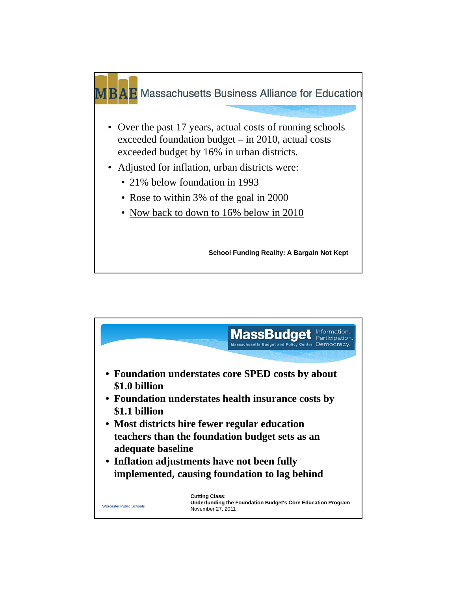

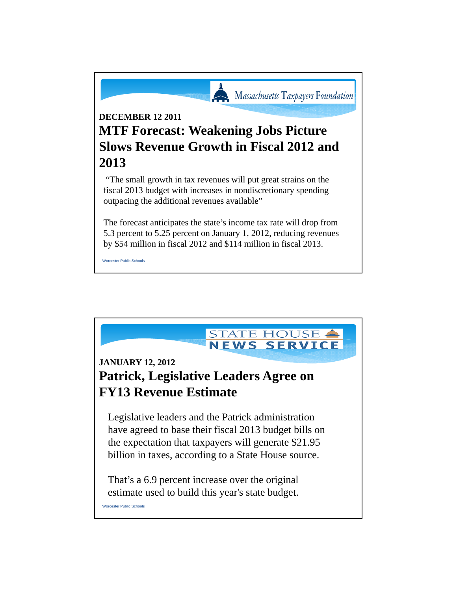

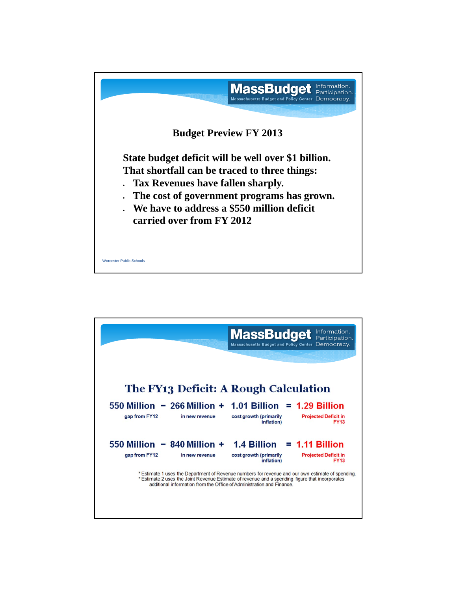

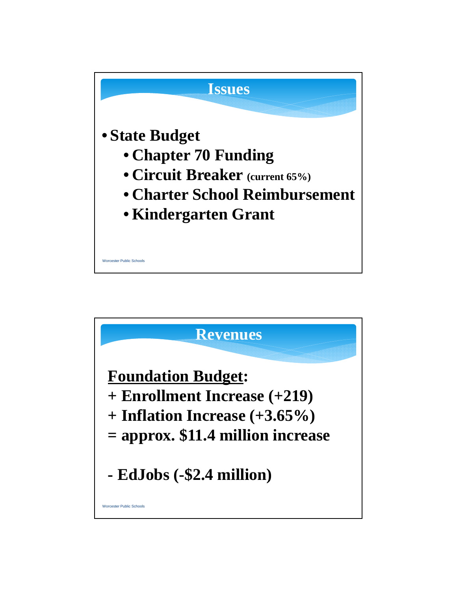

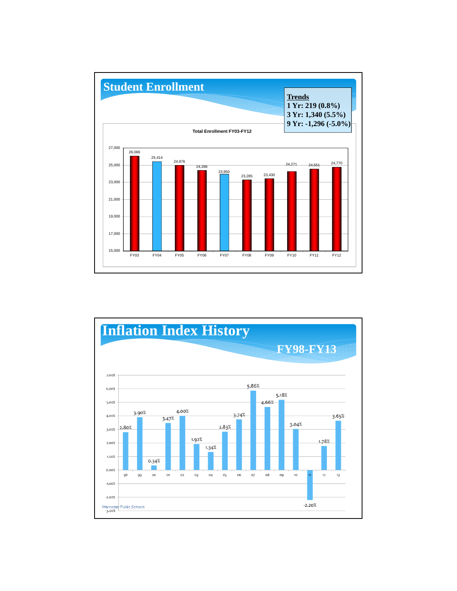

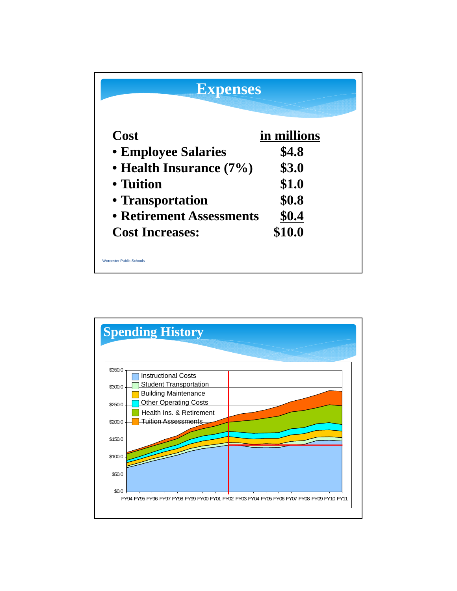| <b>Expenses</b>          |             |  |  |
|--------------------------|-------------|--|--|
| Cost                     | in millions |  |  |
| • Employee Salaries      | \$4.8       |  |  |
| • Health Insurance (7%)  | \$3.0       |  |  |
| • Tuition                | \$1.0       |  |  |
| • Transportation         | \$0.8       |  |  |
| • Retirement Assessments | \$0.4       |  |  |
| <b>Cost Increases:</b>   | \$10.0      |  |  |

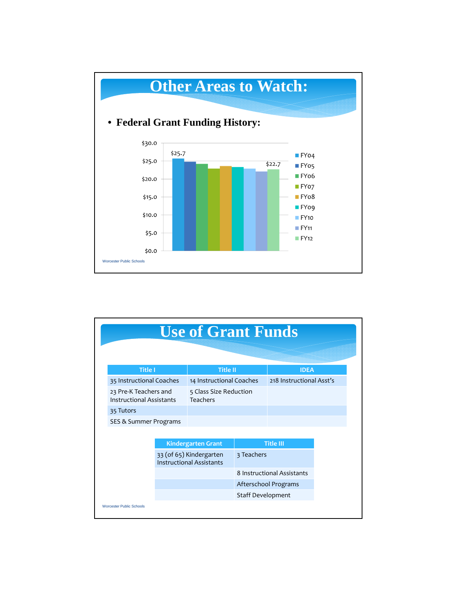

| <b>Use of Grant Funds</b>                                |                                                            |                   |                            |  |
|----------------------------------------------------------|------------------------------------------------------------|-------------------|----------------------------|--|
|                                                          |                                                            |                   |                            |  |
| <b>Title I</b>                                           | <b>Title II</b>                                            |                   | <b>IDEA</b>                |  |
| 35 Instructional Coaches                                 | 14 Instructional Coaches                                   |                   | 218 Instructional Asst's   |  |
| 23 Pre-K Teachers and<br><b>Instructional Assistants</b> | 5 Class Size Reduction<br><b>Teachers</b>                  |                   |                            |  |
| 35 Tutors                                                |                                                            |                   |                            |  |
| SES & Summer Programs                                    |                                                            |                   |                            |  |
|                                                          |                                                            |                   |                            |  |
|                                                          | <b>Kindergarten Grant</b>                                  |                   | <b>Title III</b>           |  |
|                                                          | 33 (of 65) Kindergarten<br><b>Instructional Assistants</b> | 3 Teachers        |                            |  |
|                                                          |                                                            |                   | 8 Instructional Assistants |  |
|                                                          |                                                            |                   | Afterschool Programs       |  |
|                                                          |                                                            | Staff Development |                            |  |
| <b>Worcester Public Schools</b>                          |                                                            |                   |                            |  |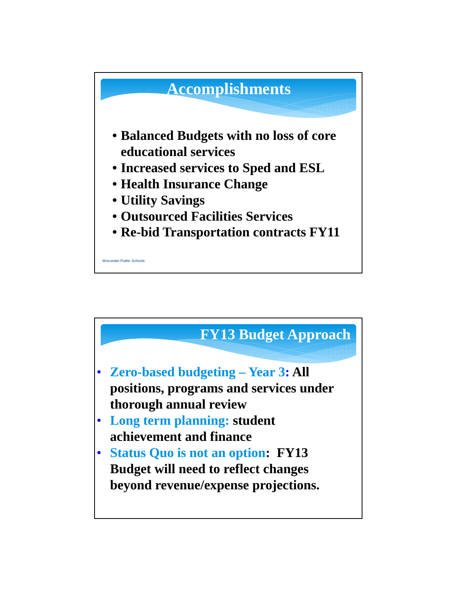

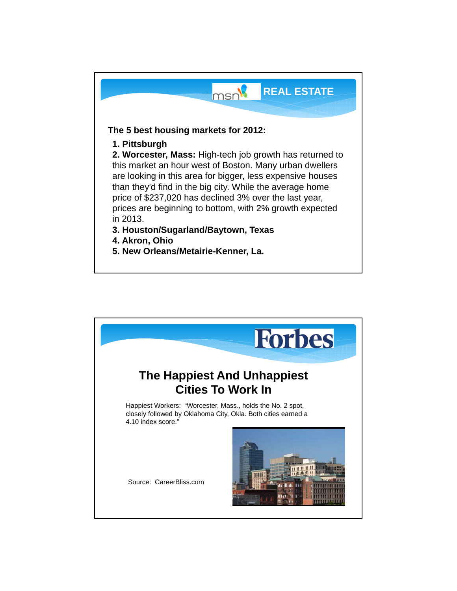

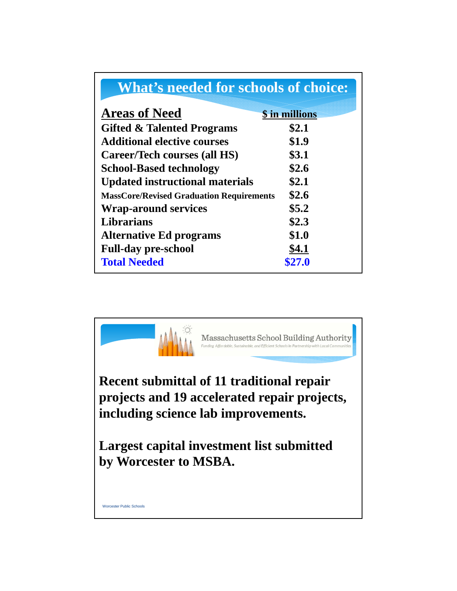## **What's needed for schools of choice:**

| <b>Areas of Need</b>                            | \$ in millions |  |  |
|-------------------------------------------------|----------------|--|--|
| Gifted & Talented Programs                      | \$2.1          |  |  |
| <b>Additional elective courses</b>              | \$1.9          |  |  |
| Career/Tech courses (all HS)                    | \$3.1          |  |  |
| <b>School-Based technology</b>                  | \$2.6          |  |  |
| <b>Updated instructional materials</b>          | \$2.1          |  |  |
| <b>MassCore/Revised Graduation Requirements</b> | \$2.6          |  |  |
| <b>Wrap-around services</b>                     | \$5.2          |  |  |
| <b>Librarians</b>                               | \$2.3          |  |  |
| <b>Alternative Ed programs</b>                  | \$1.0          |  |  |
| <b>Full-day pre-school</b>                      | \$4.1          |  |  |
| <b>Total Needed</b>                             | \$27.0         |  |  |